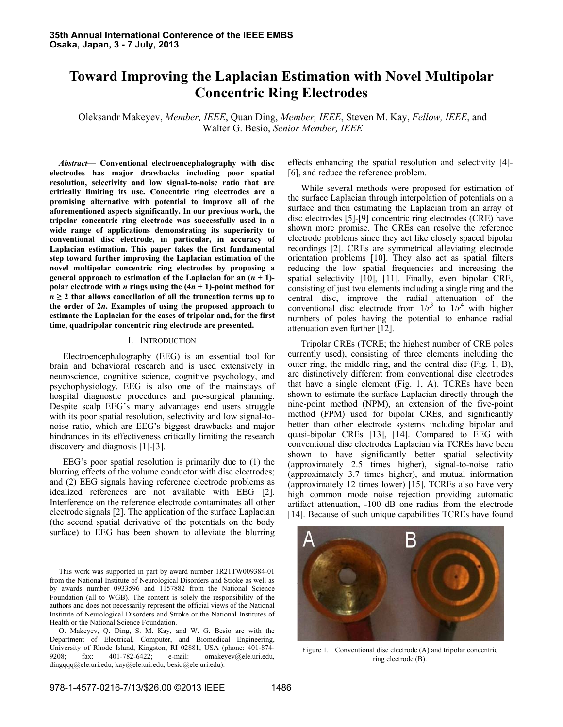# **Toward Improving the Laplacian Estimation with Novel Multipolar Concentric Ring Electrodes**

Oleksandr Makeyev, *Member, IEEE*, Quan Ding, *Member, IEEE*, Steven M. Kay, *Fellow, IEEE*, and Walter G. Besio, *Senior Member, IEEE*

*Abstract***— Conventional electroencephalography with disc electrodes has major drawbacks including poor spatial resolution, selectivity and low signal-to-noise ratio that are critically limiting its use. Concentric ring electrodes are a promising alternative with potential to improve all of the aforementioned aspects significantly. In our previous work, the tripolar concentric ring electrode was successfully used in a wide range of applications demonstrating its superiority to conventional disc electrode, in particular, in accuracy of Laplacian estimation. This paper takes the first fundamental step toward further improving the Laplacian estimation of the novel multipolar concentric ring electrodes by proposing a general approach to estimation of the Laplacian for an**  $(n + 1)$ **polar electrode with** *n* **rings using the**  $(4n + 1)$ **-point method for**  $n \geq 2$  that allows cancellation of all the truncation terms up to **the order of 2***n***. Examples of using the proposed approach to estimate the Laplacian for the cases of tripolar and, for the first time, quadripolar concentric ring electrode are presented.** 

### I. INTRODUCTION

Electroencephalography (EEG) is an essential tool for brain and behavioral research and is used extensively in neuroscience, cognitive science, cognitive psychology, and psychophysiology. EEG is also one of the mainstays of hospital diagnostic procedures and pre-surgical planning. Despite scalp EEG's many advantages end users struggle with its poor spatial resolution, selectivity and low signal-tonoise ratio, which are EEG's biggest drawbacks and major hindrances in its effectiveness critically limiting the research discovery and diagnosis [1]-[3].

EEG's poor spatial resolution is primarily due to (1) the blurring effects of the volume conductor with disc electrodes; and (2) EEG signals having reference electrode problems as idealized references are not available with EEG [2]. Interference on the reference electrode contaminates all other electrode signals [2]. The application of the surface Laplacian (the second spatial derivative of the potentials on the body surface) to EEG has been shown to alleviate the blurring

This work was supported in part by award number 1R21TW009384-01 from the National Institute of Neurological Disorders and Stroke as well as by awards number 0933596 and 1157882 from the National Science Foundation (all to WGB). The content is solely the responsibility of the authors and does not necessarily represent the official views of the National Institute of Neurological Disorders and Stroke or the National Institutes of Health or the National Science Foundation.

O. Makeyev, Q. Ding, S. M. Kay, and W. G. Besio are with the Department of Electrical, Computer, and Biomedical Engineering, University of Rhode Island, Kingston, RI 02881, USA (phone: 401-874-9208; fax: 401-782-6422; e-mail: omakeyev@ele.uri.edu, 9208; fax: 401-782-6422; e-mail: omakeyev@ele.uri.edu, dingqqq@ele.uri.edu, kay@ele.uri.edu, besio@ele.uri.edu).

effects enhancing the spatial resolution and selectivity [4]- [6], and reduce the reference problem.

While several methods were proposed for estimation of the surface Laplacian through interpolation of potentials on a surface and then estimating the Laplacian from an array of disc electrodes [5]-[9] concentric ring electrodes (CRE) have shown more promise. The CREs can resolve the reference electrode problems since they act like closely spaced bipolar recordings [2]. CREs are symmetrical alleviating electrode orientation problems [10]. They also act as spatial filters reducing the low spatial frequencies and increasing the spatial selectivity [10], [11]. Finally, even bipolar CRE, consisting of just two elements including a single ring and the central disc, improve the radial attenuation of the conventional disc electrode from  $1/r^3$  to  $1/r^4$  with higher numbers of poles having the potential to enhance radial attenuation even further [12].

Tripolar CREs (TCRE; the highest number of CRE poles currently used), consisting of three elements including the outer ring, the middle ring, and the central disc (Fig. 1, B), are distinctively different from conventional disc electrodes that have a single element (Fig. 1, A). TCREs have been shown to estimate the surface Laplacian directly through the nine-point method (NPM), an extension of the five-point method (FPM) used for bipolar CREs, and significantly better than other electrode systems including bipolar and quasi-bipolar CREs [13], [14]. Compared to EEG with conventional disc electrodes Laplacian via TCREs have been shown to have significantly better spatial selectivity (approximately 2.5 times higher), signal-to-noise ratio (approximately 3.7 times higher), and mutual information (approximately 12 times lower) [15]. TCREs also have very high common mode noise rejection providing automatic artifact attenuation, -100 dB one radius from the electrode [14]. Because of such unique capabilities TCREs have found



Figure 1. Conventional disc electrode (A) and tripolar concentric ring electrode (B).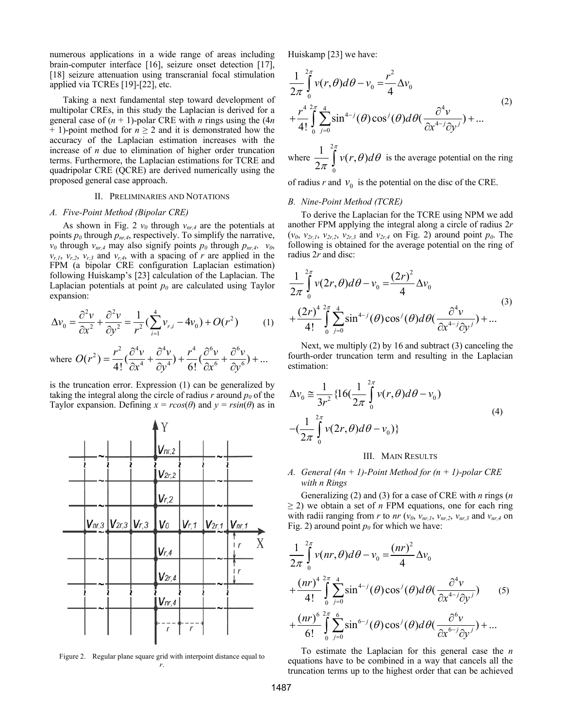numerous applications in a wide range of areas including brain-computer interface [16], seizure onset detection [17], [18] seizure attenuation using transcranial focal stimulation applied via TCREs [19]-[22], etc.

Taking a next fundamental step toward development of multipolar CREs, in this study the Laplacian is derived for a general case of  $(n + 1)$ -polar CRE with *n* rings using the  $(4n)$  $+$  1)-point method for  $n \geq 2$  and it is demonstrated how the accuracy of the Laplacian estimation increases with the increase of *n* due to elimination of higher order truncation terms. Furthermore, the Laplacian estimations for TCRE and quadripolar CRE (QCRE) are derived numerically using the proposed general case approach.

## II. PRELIMINARIES AND NOTATIONS

## *A. Five-Point Method (Bipolar CRE)*

As shown in Fig. 2  $v_0$  through  $v_{nr,4}$  are the potentials at points  $p_0$  through  $p_{nr,4}$ , respectively. To simplify the narrative,  $v_0$  through  $v_{nr,4}$  may also signify points  $p_0$  through  $p_{nr,4}$ .  $v_0$ ,  $v_{r,1}$ ,  $v_{r,2}$ ,  $v_{r,3}$  and  $v_{r,4}$ , with a spacing of *r* are applied in the FPM (a bipolar CRE configuration Laplacian estimation) following Huiskamp's [23] calculation of the Laplacian. The Laplacian potentials at point  $p_0$  are calculated using Taylor expansion:

$$
\Delta v_0 = \frac{\partial^2 v}{\partial x^2} + \frac{\partial^2 v}{\partial y^2} = \frac{1}{r^2} \left( \sum_{i=1}^4 v_{r,i} - 4v_0 \right) + O(r^2)
$$
 (1)

where 
$$
O(r^2) = \frac{r^2}{4!} \left(\frac{\partial^4 v}{\partial x^4} + \frac{\partial^4 v}{\partial y^4}\right) + \frac{r^4}{6!} \left(\frac{\partial^6 v}{\partial x^6} + \frac{\partial^6 v}{\partial y^6}\right) + \dots
$$

is the truncation error. Expression (1) can be generalized by taking the integral along the circle of radius  $r$  around  $p_0$  of the Taylor expansion. Defining  $x = r\cos(\theta)$  and  $y = r\sin(\theta)$  as in



Figure 2. Regular plane square grid with interpoint distance equal to *r*.

Huiskamp [23] we have:

$$
\frac{1}{2\pi} \int_{0}^{2\pi} v(r,\theta)d\theta - v_0 = \frac{r^2}{4} \Delta v_0
$$
\n
$$
+ \frac{r^4}{4!} \int_{0}^{2\pi} \sum_{j=0}^{4} \sin^{4-j}(\theta) \cos^j(\theta)d\theta \left(\frac{\partial^4 v}{\partial x^{4-j} \partial y^j}\right) + \dots
$$
\n
$$
1^{\frac{2\pi}{5}}.
$$
\n(2)

where  $\frac{1}{2\pi} \int_{0}^{2\pi} v(r,\theta) d\theta$  is the average potential on the ring

of radius *r* and  $v_0$  is the potential on the disc of the CRE.

## *B. Nine-Point Method (TCRE)*

To derive the Laplacian for the TCRE using NPM we add another FPM applying the integral along a circle of radius 2*r*  $(v_0, v_{2r,1}, v_{2r,2}, v_{2r,3} \text{ and } v_{2r,4} \text{ on Fig. 2) around point } p_0$ . The following is obtained for the average potential on the ring of radius 2*r* and disc:

$$
\frac{1}{2\pi} \int_{0}^{2\pi} v(2r,\theta) d\theta - v_0 = \frac{(2r)^2}{4} \Delta v_0
$$
\n
$$
+ \frac{(2r)^4}{4!} \int_{0}^{2\pi} \int_{j=0}^{4} \sin^{4-j}(\theta) \cos^j(\theta) d\theta \left(\frac{\partial^4 v}{\partial x^{4-j} \partial y^j}\right) + \dots
$$
\n(3)

Next, we multiply (2) by 16 and subtract (3) canceling the fourth-order truncation term and resulting in the Laplacian estimation:

$$
\Delta v_0 \approx \frac{1}{3r^2} \{ 16(\frac{1}{2\pi} \int_0^{2\pi} v(r,\theta) d\theta - v_0) - (\frac{1}{2\pi} \int_0^{2\pi} v(2r,\theta) d\theta - v_0) \}
$$
\n(4)

## III. MAIN RESULTS

## *A. General (4n + 1)-Point Method for (n + 1)-polar CRE with n Rings*

Generalizing (2) and (3) for a case of CRE with *n* rings (*n*  $\geq$  2) we obtain a set of *n* FPM equations, one for each ring with radii ranging from *r* to *nr* ( $v_0$ ,  $v_{nr,1}$ ,  $v_{nr,2}$ ,  $v_{nr,3}$  and  $v_{nr,4}$  on Fig. 2) around point  $p_0$  for which we have:

$$
\frac{1}{2\pi} \int_{0}^{2\pi} v(nr,\theta) d\theta - v_0 = \frac{(nr)^2}{4} \Delta v_0
$$
  
+ 
$$
\frac{(nr)^4}{4!} \int_{0}^{2\pi} \sum_{j=0}^{4} \sin^{4-j}(\theta) \cos^j(\theta) d\theta (\frac{\partial^4 v}{\partial x^{4-j} \partial y^j})
$$
(5)  
+ 
$$
\frac{(nr)^6}{6!} \int_{0}^{2\pi} \sum_{j=0}^{6} \sin^{6-j}(\theta) \cos^j(\theta) d\theta (\frac{\partial^6 v}{\partial x^{6-j} \partial y^j}) + ...
$$

To estimate the Laplacian for this general case the *n* equations have to be combined in a way that cancels all the truncation terms up to the highest order that can be achieved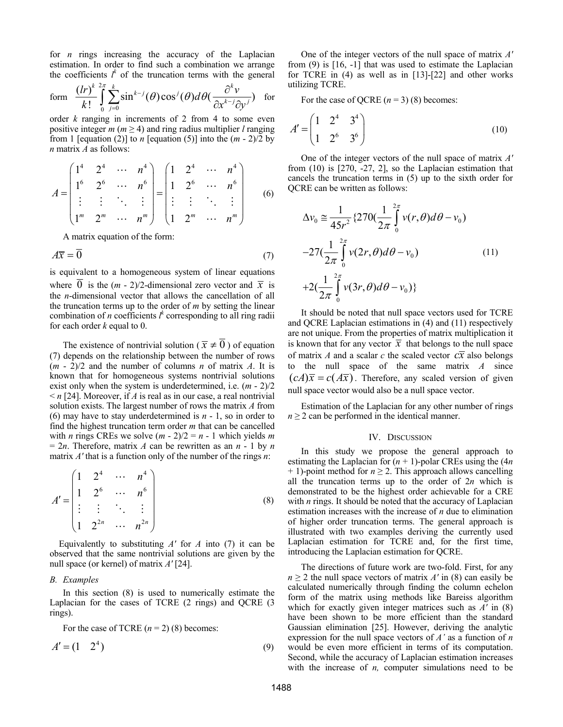for *n* rings increasing the accuracy of the Laplacian estimation. In order to find such a combination we arrange the coefficients  $l^k$  of the truncation terms with the general

form 
$$
\frac{(lr)^k}{k!} \int_{0}^{2\pi} \sum_{j=0}^{k} \sin^{k-j}(\theta) \cos^j(\theta) d\theta \left(\frac{\partial^k v}{\partial x^{k-j} \partial y^j}\right)
$$
 for

order *k* ranging in increments of 2 from 4 to some even positive integer  $m$  ( $m \ge 4$ ) and ring radius multiplier *l* ranging from 1 [equation (2)] to *n* [equation (5)] into the  $(m - 2)/2$  by *n* matrix *A* as follows:

$$
A = \begin{pmatrix} 1^4 & 2^4 & \cdots & n^4 \\ 1^6 & 2^6 & \cdots & n^6 \\ \vdots & \vdots & \ddots & \vdots \\ 1^m & 2^m & \cdots & n^m \end{pmatrix} = \begin{pmatrix} 1 & 2^4 & \cdots & n^4 \\ 1 & 2^6 & \cdots & n^6 \\ \vdots & \vdots & \ddots & \vdots \\ 1 & 2^m & \cdots & n^m \end{pmatrix}
$$
 (6)

A matrix equation of the form:

$$
A\overline{x} = \overline{0} \tag{7}
$$

is equivalent to a homogeneous system of linear equations where 0 is the  $(m - 2)/2$ -dimensional zero vector and  $\bar{x}$  is the *n*-dimensional vector that allows the cancellation of all the truncation terms up to the order of *m* by setting the linear combination of *n* coefficients  $l^k$  corresponding to all ring radii for each order *k* equal to 0.

The existence of nontrivial solution ( $\bar{x} \neq 0$ ) of equation (7) depends on the relationship between the number of rows (*m* - 2)/2 and the number of columns *n* of matrix *A*. It is known that for homogeneous systems nontrivial solutions exist only when the system is underdetermined, i.e. (*m* - 2)/2  $\leq n$  [24]. Moreover, if *A* is real as in our case, a real nontrivial solution exists. The largest number of rows the matrix *A* from (6) may have to stay underdetermined is *n* - 1, so in order to find the highest truncation term order *m* that can be cancelled with *n* rings CREs we solve  $(m - 2)/2 = n - 1$  which yields *m*  $= 2n$ . Therefore, matrix *A* can be rewritten as an *n* - 1 by *n* matrix *A'* that is a function only of the number of the rings *n*:

$$
A' = \begin{pmatrix} 1 & 2^4 & \cdots & n^4 \\ 1 & 2^6 & \cdots & n^6 \\ \vdots & \vdots & \ddots & \vdots \\ 1 & 2^{2n} & \cdots & n^{2n} \end{pmatrix}
$$
 (8)

 Equivalently to substituting *A'* for *A* into (7) it can be observed that the same nontrivial solutions are given by the null space (or kernel) of matrix *A'* [24].

## *B. Examples*

In this section (8) is used to numerically estimate the Laplacian for the cases of TCRE (2 rings) and QCRE (3 rings).

For the case of TCRE  $(n = 2)$  (8) becomes:

$$
A' = \begin{pmatrix} 1 & 2^4 \end{pmatrix} \tag{9}
$$

One of the integer vectors of the null space of matrix *A'* from (9) is [16, -1] that was used to estimate the Laplacian for TCRE in (4) as well as in [13]-[22] and other works utilizing TCRE.

For the case of QCRE  $(n = 3)$  (8) becomes:

$$
A' = \begin{pmatrix} 1 & 2^4 & 3^4 \\ 1 & 2^6 & 3^6 \end{pmatrix}
$$
 (10)

One of the integer vectors of the null space of matrix *A'* from (10) is [270, -27, 2], so the Laplacian estimation that cancels the truncation terms in (5) up to the sixth order for QCRE can be written as follows:

$$
\Delta v_0 \approx \frac{1}{45r^2} \{270(\frac{1}{2\pi} \int_0^{2\pi} v(r,\theta)d\theta - v_0) -27(\frac{1}{2\pi} \int_0^{2\pi} v(2r,\theta)d\theta - v_0) -27(\frac{1}{2\pi} \int_0^{2\pi} v(2r,\theta)d\theta - v_0) -42(\frac{1}{2\pi} \int_0^{2\pi} v(3r,\theta)d\theta - v_0)\}
$$
(11)

It should be noted that null space vectors used for TCRE and QCRE Laplacian estimations in (4) and (11) respectively are not unique. From the properties of matrix multiplication it is known that for any vector  $\overline{x}$  that belongs to the null space of matrix *A* and a scalar *c* the scaled vector  $c\overline{x}$  also belongs to the null space of the same matrix *A* since  $(cA)\overline{x} = c(A\overline{x})$ . Therefore, any scaled version of given null space vector would also be a null space vector.

Estimation of the Laplacian for any other number of rings  $n \geq 2$  can be performed in the identical manner.

## IV. DISCUSSION

In this study we propose the general approach to estimating the Laplacian for  $(n + 1)$ -polar CREs using the  $(4n)$  $+ 1$ )-point method for  $n \ge 2$ . This approach allows cancelling all the truncation terms up to the order of 2*n* which is demonstrated to be the highest order achievable for a CRE with *n* rings. It should be noted that the accuracy of Laplacian estimation increases with the increase of *n* due to elimination of higher order truncation terms. The general approach is illustrated with two examples deriving the currently used Laplacian estimation for TCRE and, for the first time, introducing the Laplacian estimation for QCRE.

The directions of future work are two-fold. First, for any  $n \geq 2$  the null space vectors of matrix *A'* in (8) can easily be calculated numerically through finding the column echelon form of the matrix using methods like Bareiss algorithm which for exactly given integer matrices such as *A'* in (8) have been shown to be more efficient than the standard Gaussian elimination [25]. However, deriving the analytic expression for the null space vectors of *A'* as a function of *n* would be even more efficient in terms of its computation. Second, while the accuracy of Laplacian estimation increases with the increase of *n*, computer simulations need to be